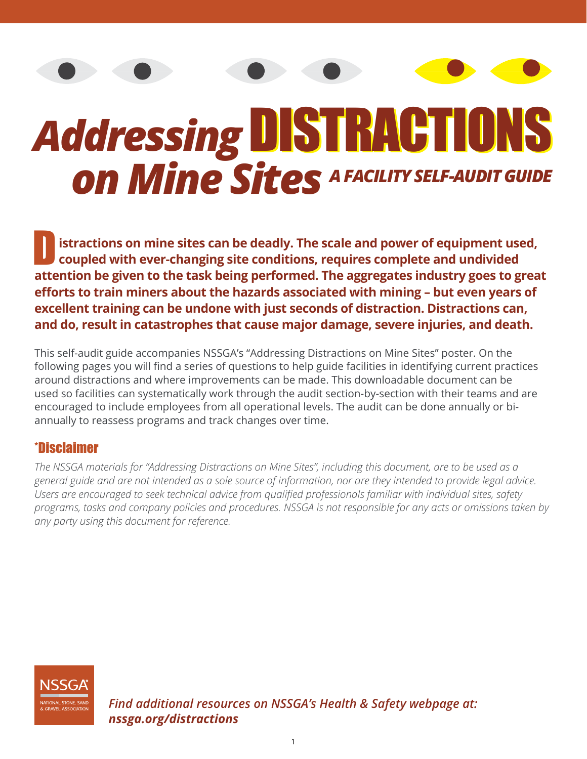# *Addressing* DISTRACTIONS<br>
On Mine Sites A FACILITY SELF-AUDIT GUIDE

**istractions on mine sites can be deadly. The scale and power of equipment used, coupled with ever-changing site conditions, requires complete and undivided attention be given to the task being performed. The aggregates industry goes to great efforts to train miners about the hazards associated with mining – but even years of excellent training can be undone with just seconds of distraction. Distractions can, and do, result in catastrophes that cause major damage, severe injuries, and death.**

This self-audit guide accompanies NSSGA's "Addressing Distractions on Mine Sites" poster. On the following pages you will find a series of questions to help guide facilities in identifying current practices around distractions and where improvements can be made. This downloadable document can be used so facilities can systematically work through the audit section-by-section with their teams and are encouraged to include employees from all operational levels. The audit can be done annually or biannually to reassess programs and track changes over time.

#### \*Disclaimer

*The NSSGA materials for "Addressing Distractions on Mine Sites", including this document, are to be used as a general guide and are not intended as a sole source of information, nor are they intended to provide legal advice. Users are encouraged to seek technical advice from qualified professionals familiar with individual sites, safety programs, tasks and company policies and procedures. NSSGA is not responsible for any acts or omissions taken by any party using this document for reference.* 

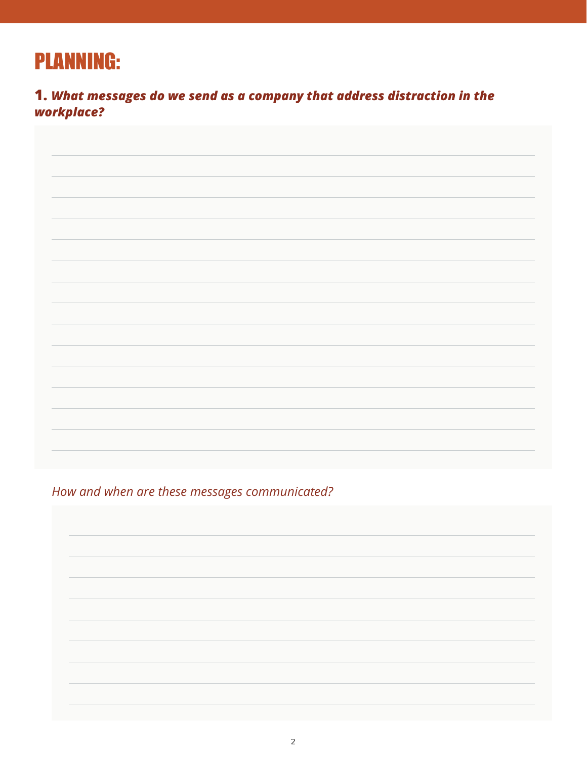## PLANNING:

**1.** *What messages do we send as a company that address distraction in the workplace?*

*How and when are these messages communicated?*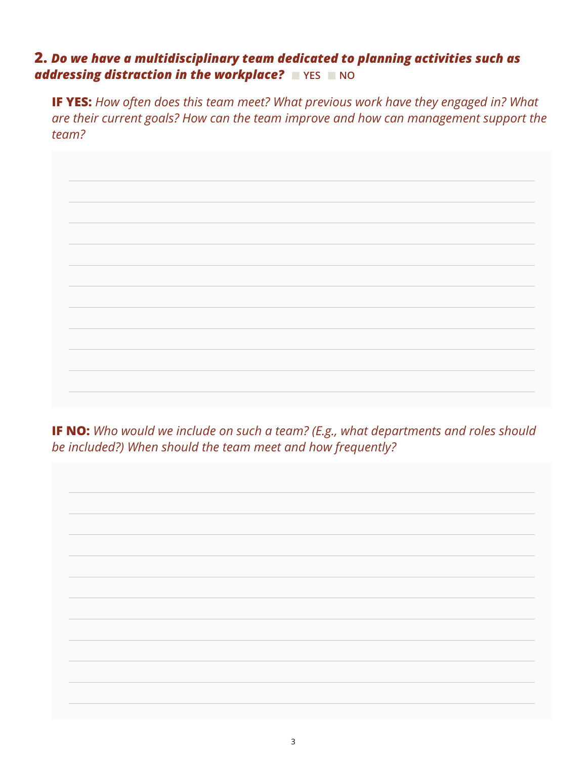### **2.** *Do we have a multidisciplinary team dedicated to planning activities such as addressing distraction in the workplace?* **NO**

**IF YES:** *How often does this team meet? What previous work have they engaged in? What are their current goals? How can the team improve and how can management support the team?*



**IF NO:** *Who would we include on such a team? (E.g., what departments and roles should be included?) When should the team meet and how frequently?*

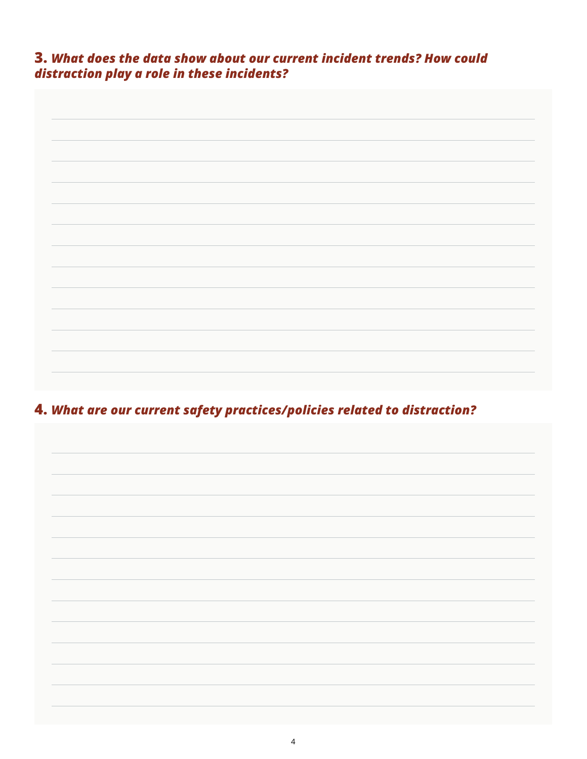**3.** *What does the data show about our current incident trends? How could distraction play a role in these incidents?*



**4.** *What are our current safety practices/policies related to distraction?*

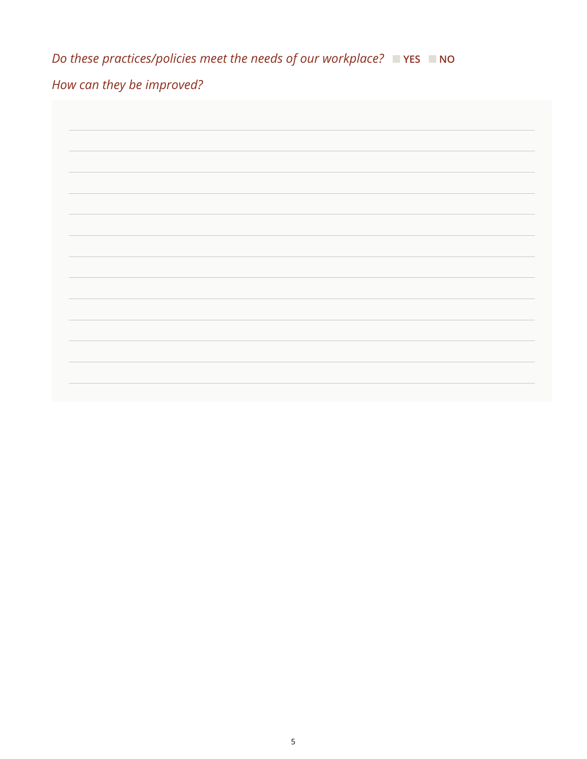*Do these practices/policies meet the needs of our workplace?* ■ YES ■ NO

## *How can they be improved?*

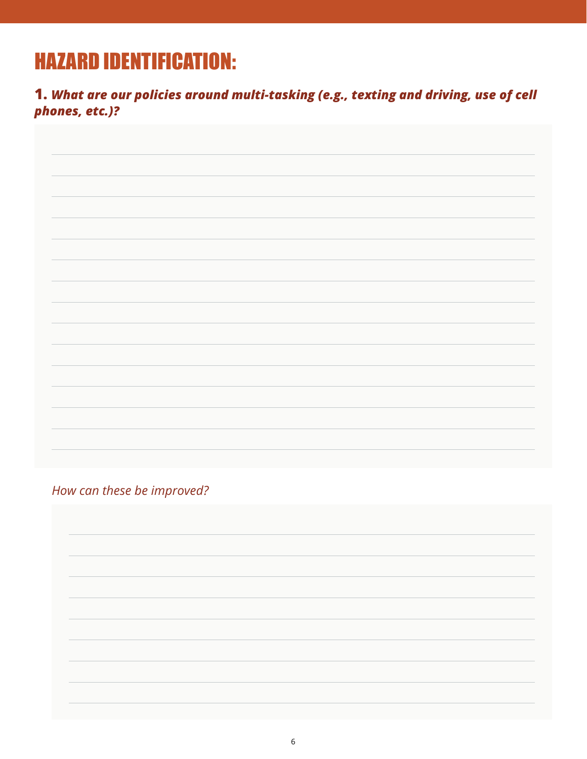## HAZARD IDENTIFICATION:

**1.** *What are our policies around multi-tasking (e.g., texting and driving, use of cell phones, etc.)?*

*How can these be improved?*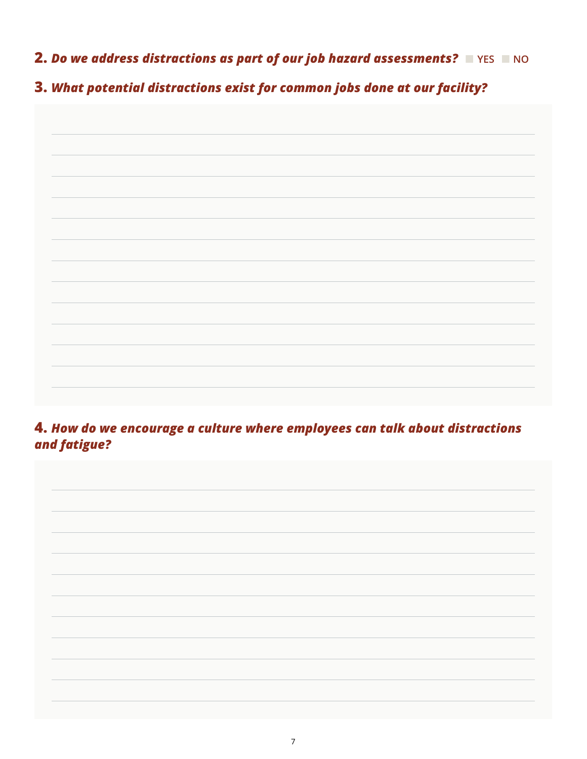**2. Do we address distractions as part of our job hazard assessments? PRES RING** 

**3.** *What potential distractions exist for common jobs done at our facility?*

**4.** *How do we encourage a culture where employees can talk about distractions and fatigue?*

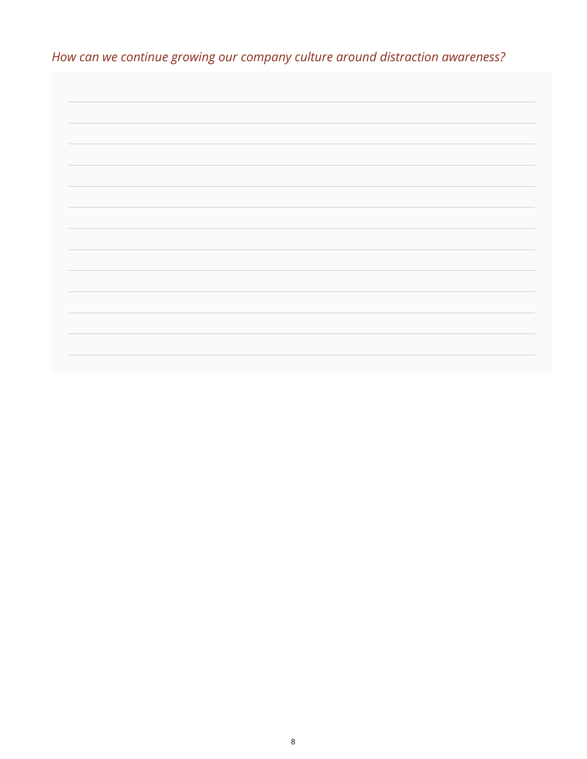*How can we continue growing our company culture around distraction awareness?*

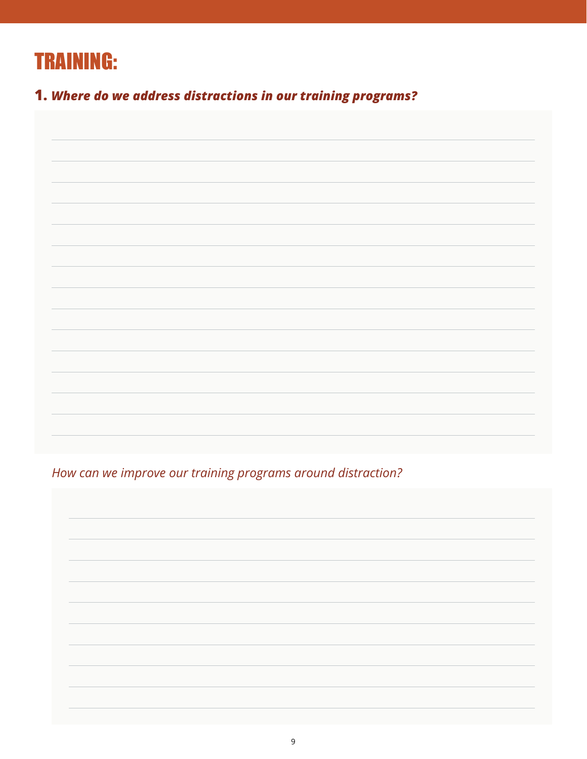

**1.** *Where do we address distractions in our training programs?*

*How can we improve our training programs around distraction?*

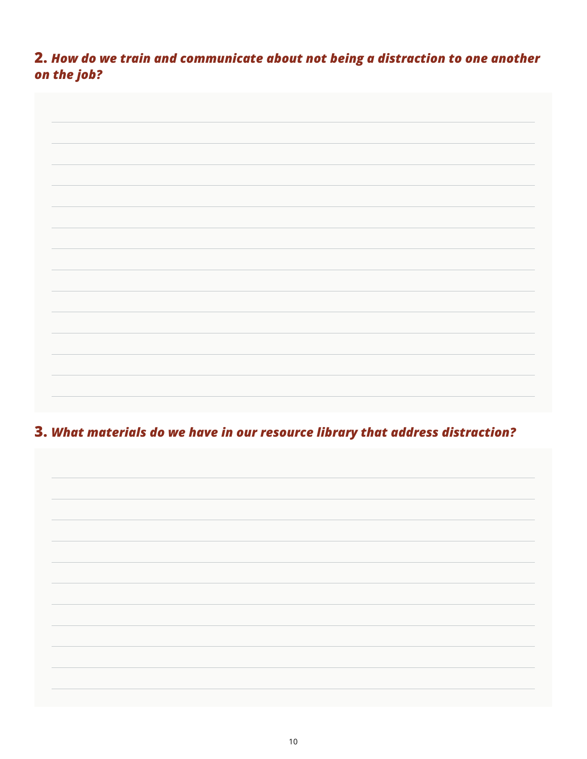**2.** *How do we train and communicate about not being a distraction to one another on the job?*

**3.** *What materials do we have in our resource library that address distraction?*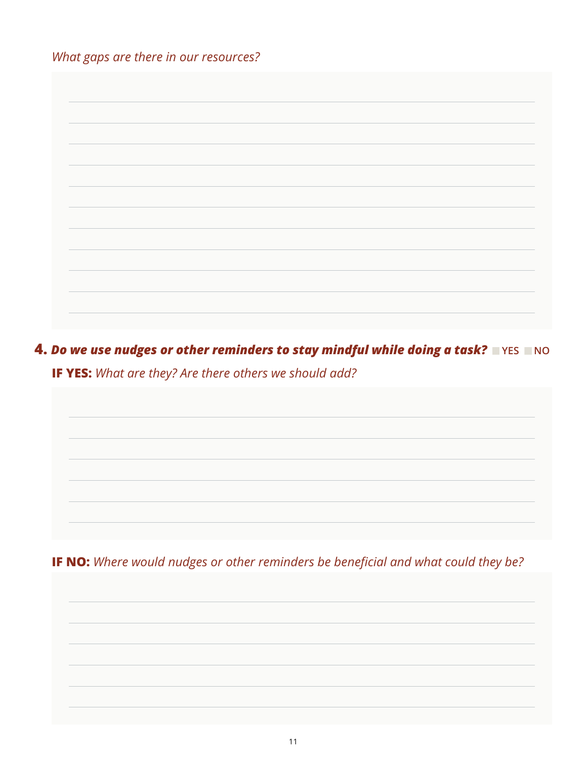*What gaps are there in our resources?*

**4. Do we use nudges or other reminders to stay mindful while doing a task?** NO **IF YES:** *What are they? Are there others we should add?*

**IF NO:** *Where would nudges or other reminders be beneficial and what could they be?*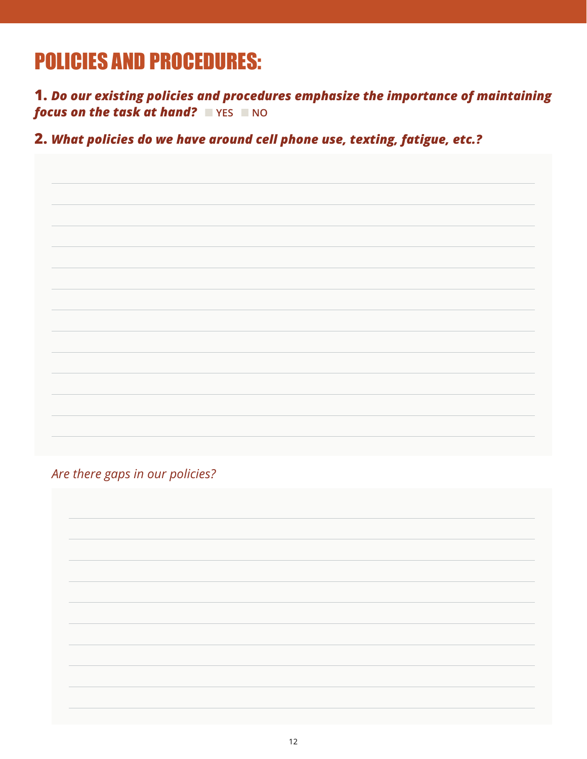## POLICIES AND PROCEDURES:

**1.** *Do our existing policies and procedures emphasize the importance of maintaining focus on the task at hand?* **No** 

**2.** *What policies do we have around cell phone use, texting, fatigue, etc.?*

*Are there gaps in our policies?*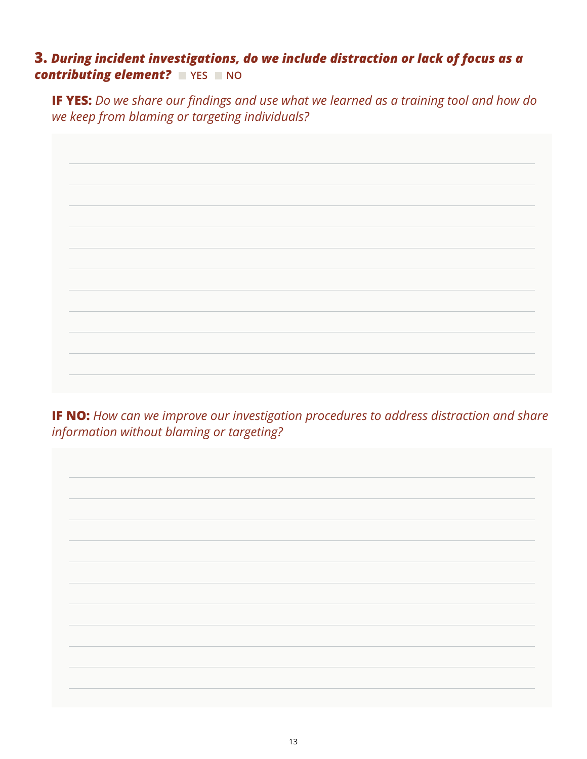### **3.** *During incident investigations, do we include distraction or lack of focus as a*  **contributing element? No**

**IF YES:** *Do we share our findings and use what we learned as a training tool and how do we keep from blaming or targeting individuals?*



**IF NO:** *How can we improve our investigation procedures to address distraction and share information without blaming or targeting?*

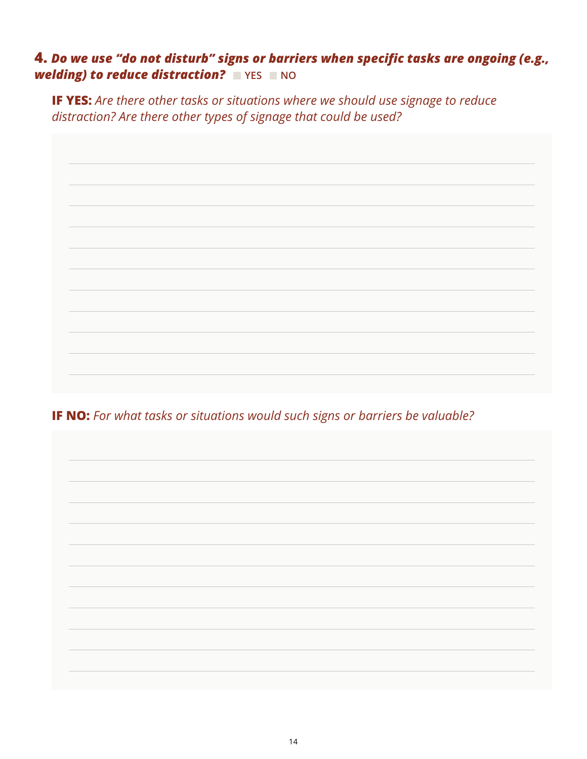#### **4.** *Do we use "do not disturb" signs or barriers when specific tasks are ongoing (e.g., welding) to reduce distraction?* **NO**

**IF YES:** *Are there other tasks or situations where we should use signage to reduce distraction? Are there other types of signage that could be used?*



**IF NO:** *For what tasks or situations would such signs or barriers be valuable?*

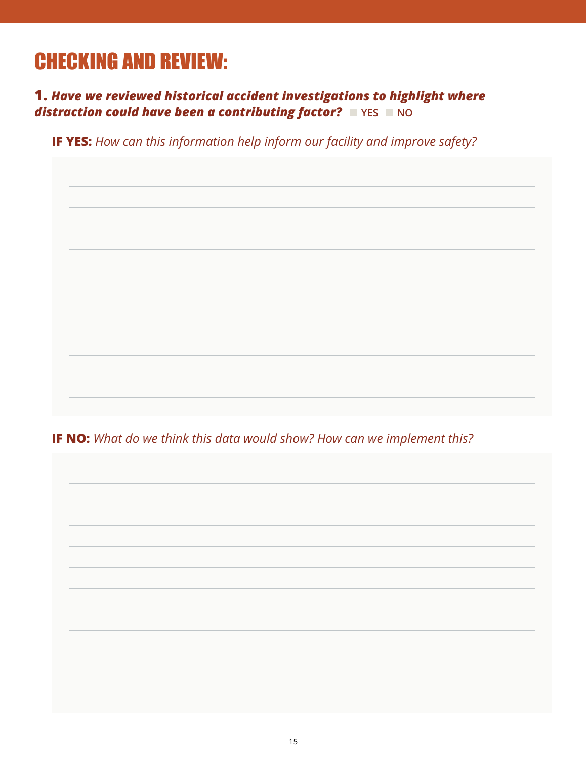# CHECKING AND REVIEW:

**1.** *Have we reviewed historical accident investigations to highlight where*  **distraction could have been a contributing factor? PINS RING** 

**IF YES:** *How can this information help inform our facility and improve safety?*

**IF NO:** *What do we think this data would show? How can we implement this?*

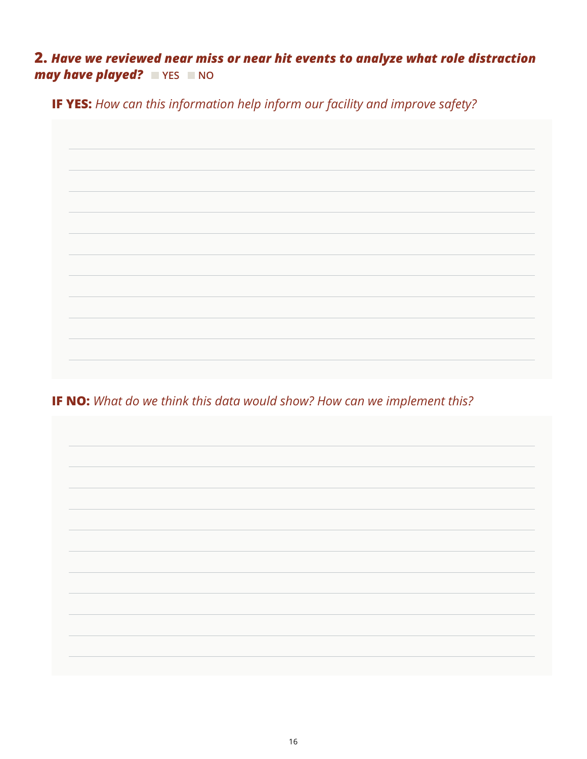### **2.** *Have we reviewed near miss or near hit events to analyze what role distraction may have played?* **No**

**IF YES:** *How can this information help inform our facility and improve safety?*



**IF NO:** *What do we think this data would show? How can we implement this?*

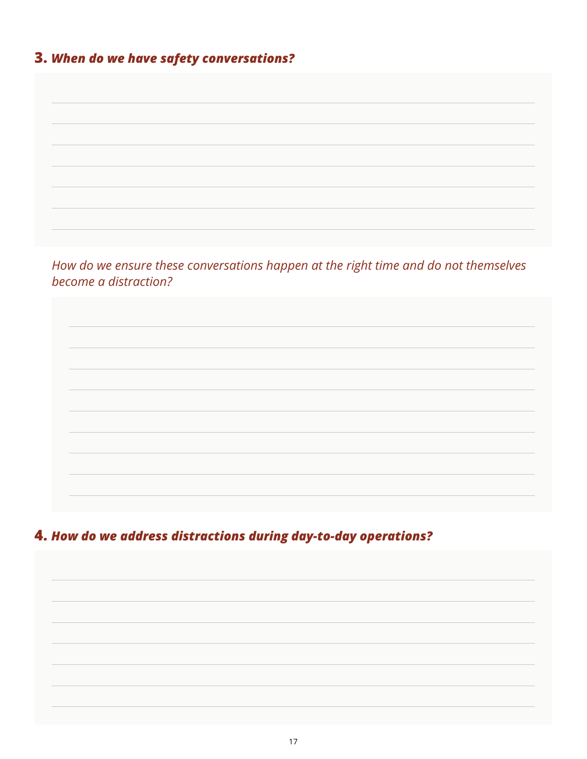## **3.** *When do we have safety conversations?*

| become a distraction? | How do we ensure these conversations happen at the right time and do not themselves |  |
|-----------------------|-------------------------------------------------------------------------------------|--|
|                       |                                                                                     |  |
|                       |                                                                                     |  |

**4.** *How do we address distractions during day-to-day operations?*